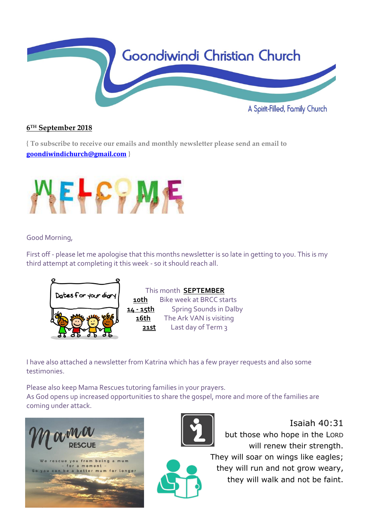

## **6 TH September 2018**

**{ To subscribe to receive our emails and monthly newsletter please send an email to [goondiwindichurch@gmail.com](mailto:goondiwindichurch@gmail.com) }**



Good Morning,

First off - please let me apologise that this months newsletter is so late in getting to you. This is my third attempt at completing it this week - so it should reach all.



This month **SEPTEMBER 10th** Bike week at BRCC starts **14 - 15th** Spring Sounds in Dalby **16th** The Ark VAN is visiting **21st** Last day of Term 3

I have also attached a newsletter from Katrina which has a few prayer requests and also some testimonies.

Please also keep Mama Rescues tutoring families in your prayers. As God opens up increased opportunities to share the gospel, more and more of the families are coming under attack.





Isaiah 40:31 but those who hope in the LORD will renew their strength.

They will soar on wings like eagles; they will run and not grow weary, they will walk and not be faint.